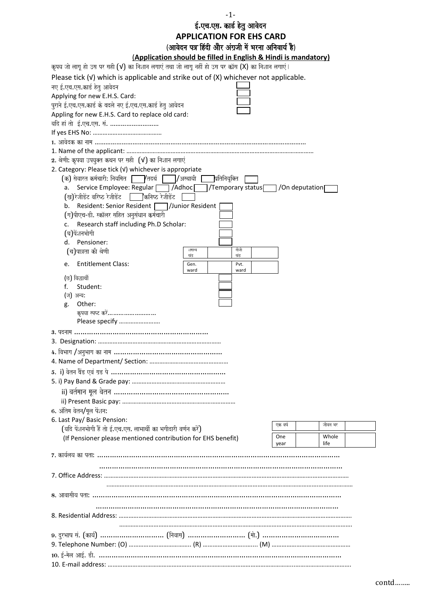-1- ई.एच.एस. कार्ड हेतु आवेदन **APPLICATION FOR EHS CARD** (आवेदन पत्र हिंदी और अंग्रजी में भरना अनिवार्य है)

| (Application should be filled in English & Hindi is mandatory)                                                                           |                                     |         |         |  |
|------------------------------------------------------------------------------------------------------------------------------------------|-------------------------------------|---------|---------|--|
| कृपय जो लागू हो उस पर सही (V) का निशान लगाएं तथा जो लागू नहीं हो उस पर क्रॉस (X) का निशान लगाएं।                                         |                                     |         |         |  |
| Please tick $(V)$ which is applicable and strike out of $(X)$ whichever not applicable.                                                  |                                     |         |         |  |
| नए ई.एच.एस.कार्ड हेतु आवेदन                                                                                                              |                                     |         |         |  |
| Applying for new E.H.S. Card:                                                                                                            |                                     |         |         |  |
| पुराने ई.एच.एस.कार्ड के बदले नए ई.एच.एस.कार्ड हेतु आवेदन                                                                                 |                                     |         |         |  |
| Appling for new E.H.S. Card to replace old card:                                                                                         |                                     |         |         |  |
| यदि हां तो ई.एच.एस. सं.                                                                                                                  |                                     |         |         |  |
|                                                                                                                                          |                                     |         |         |  |
|                                                                                                                                          |                                     |         |         |  |
|                                                                                                                                          |                                     |         |         |  |
| 2. श्रेणी: कृपया उपयुक्त कथन पर सही (V) का निशान लगाएं                                                                                   |                                     |         |         |  |
| 2. Category: Please tick (V) whichever is appropriate<br>(क) सेवारत कर्मचारी: नियमित                         अस्थायी  <br>]प्रतिनियूक्ति |                                     |         |         |  |
| Service Employee: Regular [<br>$\Box$ /Adhoc $\Box$<br>a.                                                                                | /Temporary status / / On deputation |         |         |  |
| (ख)रेजीडेंट वरिष्ठ रेजीडेंट<br>∤कनिष्ठ रेजीडेंट                                                                                          |                                     |         |         |  |
| Resident: Senior Resident   /Junior Resident<br>b.                                                                                       |                                     |         |         |  |
| (ग)पीएच-डी. स्कॉलर सहित अनुसंधान कर्मचारी                                                                                                |                                     |         |         |  |
| Research staff including Ph.D Scholar:<br>c.                                                                                             |                                     |         |         |  |
| (घ)पेंशनभोगी                                                                                                                             |                                     |         |         |  |
| d. Pensioner:                                                                                                                            |                                     |         |         |  |
| शमान्य<br>(च)पात्रता की श्रेणी<br>खड़                                                                                                    | नीजी<br>खंड़                        |         |         |  |
| <b>Entitlement Class:</b><br>e.<br>Gen.                                                                                                  | Pvt.                                |         |         |  |
| ward                                                                                                                                     | ward                                |         |         |  |
| (छ) विद्धार्थी                                                                                                                           |                                     |         |         |  |
| Student:<br>f.<br>(ज) अन्य:                                                                                                              |                                     |         |         |  |
| Other:<br>g.                                                                                                                             |                                     |         |         |  |
| कृपया स्पष्ट करें                                                                                                                        |                                     |         |         |  |
| Please specify                                                                                                                           |                                     |         |         |  |
|                                                                                                                                          |                                     |         |         |  |
|                                                                                                                                          |                                     |         |         |  |
| 4. विभाग /अनुभाग का नाम ……………………………………………                                                                                                |                                     |         |         |  |
|                                                                                                                                          |                                     |         |         |  |
|                                                                                                                                          |                                     |         |         |  |
|                                                                                                                                          |                                     |         |         |  |
|                                                                                                                                          |                                     |         |         |  |
|                                                                                                                                          |                                     |         |         |  |
| 6. अंतिम वेतन/मूल पेंशन:                                                                                                                 |                                     |         |         |  |
| 6. Last Pay/ Basic Pension:                                                                                                              |                                     |         |         |  |
| (यदि पेंशनभोगी हैं तो ई.एच.एस. लाभार्थी का भगीदारी वर्णन करें)                                                                           |                                     | एक वर्ष | जीवन भर |  |
| (If Pensioner please mentioned contribution for EHS benefit)                                                                             |                                     | One     | Whole   |  |
|                                                                                                                                          |                                     | year    | life    |  |
|                                                                                                                                          |                                     |         |         |  |
|                                                                                                                                          |                                     |         |         |  |
|                                                                                                                                          |                                     |         |         |  |
|                                                                                                                                          |                                     |         |         |  |
|                                                                                                                                          |                                     |         |         |  |
|                                                                                                                                          |                                     |         |         |  |
|                                                                                                                                          |                                     |         |         |  |
|                                                                                                                                          |                                     |         |         |  |
|                                                                                                                                          |                                     |         |         |  |
|                                                                                                                                          |                                     |         |         |  |
|                                                                                                                                          |                                     |         |         |  |
|                                                                                                                                          |                                     |         |         |  |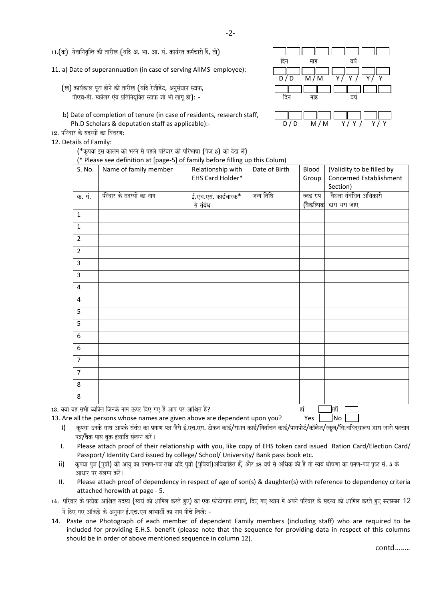11.(क) सेवानिवल्ति की तारीख (यदि अ. भा. आ. सं. कार्यरत कर्मचारी हैं. तो)

11. a) Date of superannuation (in case of serving AIIMS employee):

- (ख) कार्यकाल पूरा होने की तारीख (यदि रेजीडेंट, अनुसंधान स्टाफ, pIeca-DI. ska^lar eMva p`itinayaUi@t sTaf jaao BaI laagaU hao)o: - idna maah vaYa-
- b) Date of completion of tenure (in case of residents, research staff, Ph.D Scholars & deputation staff as applicable):-  $D/D$  M/M
- $12.$  परिवार के सदस्यों का विवरण:
- 12. Details of Family:
	- (\*कृपया इस कालम को भरने से पहले परिवार की परिभाषा (पेज 5) को देख लें)
	-





| S. No.         | Name of family member     | Relationship with   | Date of Birth | Blood     | (Validity to be filled by |
|----------------|---------------------------|---------------------|---------------|-----------|---------------------------|
|                |                           | EHS Card Holder*    |               | Group     | Concerned Establishment   |
|                |                           |                     |               |           | Section)                  |
| क. सं.         | र्परवार के सदस्यों का नाम | ई.एच.एस. कार्डधारक* | जन्म तिथि     | ब्लड ग्रप | वैधता संबंधित अधिकारी     |
|                |                           | से संबंध            |               | (वैकल्पिक | द्वारा भरा जाए            |
| $\mathbf{1}$   |                           |                     |               |           |                           |
| $\mathbf{1}$   |                           |                     |               |           |                           |
| $\overline{2}$ |                           |                     |               |           |                           |
| $\overline{2}$ |                           |                     |               |           |                           |
| $\overline{3}$ |                           |                     |               |           |                           |
| $\overline{3}$ |                           |                     |               |           |                           |
| $\overline{4}$ |                           |                     |               |           |                           |
| 4              |                           |                     |               |           |                           |
| 5              |                           |                     |               |           |                           |
| 5              |                           |                     |               |           |                           |
| 6              |                           |                     |               |           |                           |
| 6              |                           |                     |               |           |                           |
| $\overline{7}$ |                           |                     |               |           |                           |
| $\overline{7}$ |                           |                     |               |           |                           |
| 8              |                           |                     |               |           |                           |
| 8              |                           |                     |               |           |                           |

13. Are all the persons whose names are given above are dependent upon you? Yes  $\Box$  No  $\Box$ 

- i) कृपया उनके साथ आपके संबंध का प्रमाण पत्र जैसे ई.एच.एस. टोकन कार्ड/राशन कार्ड/निर्वाचन कार्ड/पासपोर्ट/कॉलेज/स्कूल/विश्वविदयालय द्वारा जारी पहचान पत्र/बैक पास बक इत्यादि संलग्न करें।
- I. Please attach proof of their relationship with you, like copy of EHS token card issued Ration Card/Election Card/ Passport/ Identity Card issued by college/ School/ University/ Bank pass book etc.
- ii) कृपया पुत्र (पुत्रों) की आयु का प्रमाण-पत्र तथा यदि पूत्री (पुत्रियां)अविवाहित हैं, और 18 वर्ष से अधिक की हैं तो स्वयं धोषणा का प्रमण-पत्र पृष्ट सं. 5 के आधार पर संलग्न करें।
- II. Please attach proof of dependency in respect of age of son(s) & daughter(s) with reference to dependency criteria attached herewith at page - 5.
- 14. परिवार के प्रत्येक आश्रित सदस्य (स्वयं को शामिल करते हुए) का एक फोटोगाफ लगाएं, दिए गए स्थान में अपने परिवार के सदस्य को शामिल करते हुए स्तम्भ 12 में दिए गए ऑकड़े के अनुसार ई.एच.एस लाभार्थी का नाम नीचे लिखें: -
- 14. Paste one Photograph of each member of dependent Family members (including staff) who are required to be included for providing E.H.S. benefit (please note that the sequence for providing data in respect of this columns should be in order of above mentioned sequence in column 12).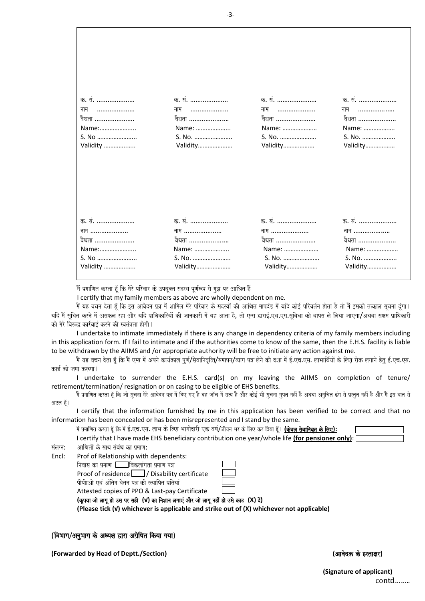| क. सं.   | क. सं.   | क. सं.   | क. सं.   |
|----------|----------|----------|----------|
| नाम      |          |          |          |
|          | नाम      | नाम      | नाम      |
| वैधता    | वैधता    | वैधता    | वैधता    |
| Name:    | Name:    | Name:    | Name:    |
| S. No    | S. No.   | S. No.   | S. No.   |
| Validity | Validity | Validity | Validity |
| क. सं.   | क. सं.   | क. सं.   | क. सं.   |
| नाम      | नाम      | नाम      | नाम      |
| वैधता    | वैधता    | वैधता    | वैधता    |
| Name:    | Name:    | Name:    | Name:    |
| S. No    | S. No.   | S. No.   | S. No.   |
| Validity | Validity | Validity | Validity |

में प्रमाणित करता हूँ कि मेरे परिवार के उपयुक्त सदस्य पूर्णरूप से मुझ पर आश्रित हैं |

I certify that my family members as above are wholly dependent on me.

ौं यह वचन देता हूँ कि इस आवेदन प्रत्र में शामिल मेरे परिवार के सदस्यों की आश्रित मापदंड में यदि कोई परिवर्तन होता है तो मैं इसकी तत्काल सूचना दूंगा। यदि मैं सूचित करने में असफल रहा और यदि प्राधिकारियों की जानकारी में यह आता है, तो एम्स द्वाराई एच एस सूचिधा को वापस ले लिया जाएगा/अथवा सक्षम प्राधिकारी को मेरे विरूद्ध कार्रवाई करने की स्वतंत्रता होगी।

I undertake to intimate immediately if there is any change in dependency criteria of my family members including in this application form. If I fail to intimate and if the authorities come to know of the same, then the E.H.S. facility is liable to be withdrawn by the AIIMS and /or appropriate authority will be free to initiate any action against me.

.<br>मैं यह वचन देता हूँ कि मैं एम्स में अपने कार्यकाल पूर्ण/सेवानिवृत्ति/समापन/त्याग पत्र लेने की दशा में ई.एच.एस. लाभार्थियों के लिए रोक लगाने हेतु ई.एच.एस. कार्ड को जमा करूगा।

I undertake to surrender the E.H.S. card(s) on my leaving the AIIMS on completion of tenure/ retirement/termination/ resignation or on casing to be eligible of EHS benefits.

में प्रमाणित करता हूँ कि जो सूचना मेरे आवेदन पत्र में दिए गए है वह जॉच में सत्य है और कोई भी सूचना गुपत नहीं बचा सब<br>मैं प्रमाणित करता हूँ कि जो सूचना मेरे आवेदन पत्र में दिए गए हैं वह के बाद में सबस है और कोई भी मुख्य करन अटल हैं |

I certify that the information furnished by me in this application has been verified to be correct and that no information has been concealed or has been misrepresented and I stand by the same.

भें प्रमाणित करता हूँ कि भें ई.एच.एस. लाभ के लिएा भागीदारी एक वर्ष/जीवन भर के लिए कर दिया हूँ। **(केवल सेवानिवृत के लिए):** 

I certify that I have made EHS beneficiary contribution one year/whole life **(for pensioner only)**:

 $\overline{\mathbf{r}}$ लंग्न: आश्रितों के साथ संबंध का प्रमाण:

Encl: Prof of Relationship with dependents:

 $\overline{a}$ निवास का प्रमाण  $\overline{a}$ विकलांगता प्रमाण पत्र

Proof of residence  $\Box$  / Disability certificate

पीपीाओ एवं अंतिम वेतन पत्र की स्त्यापित प्रतियां

Attested copies of PPO & Last-pay Certificate

 $($ कृपया जो लागू हो उस पर सही (√) का निशान लगाएं और जो लागू नहीं हो उसे काट (X) दें)

**(Please tick (√) whichever is applicable and strike out of (X) whichever not applicable)**

# (विभाग/अनभाग के अध्यक्ष द्वारा अग्रेषित किया गया)

**(Forwarded by Head of Deptt./Section) (**Aavaodk ko hstaxar**)** 

 **(Signature of applicant)**  contd……..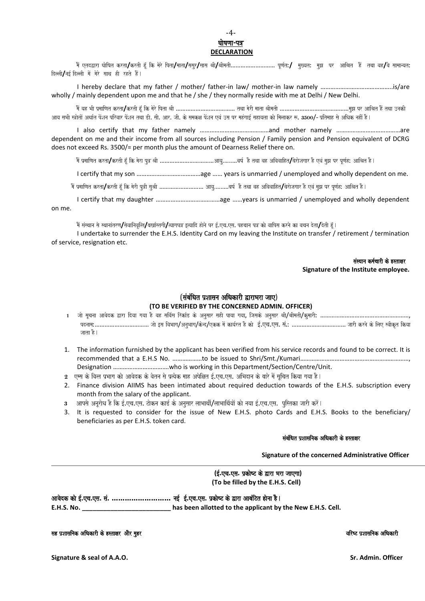## -4 **i**षणा-पत्र **DECLARATION**

में एतदद्वारा घोषित करता**/**करती हूँ कि मेरे पिता**/**ससुर/सास श्री/श्रीमती………………………… पूर्णत:/ मुख्यत: मुझ पर आश्रित हैं तथा वह/वे सामान्यत: दिल्ली/नई दिल्ली में मेरे साथ ही रहते हैं।

I hereby declare that my father / mother/ father-in law/ mother-in law namely ……………………………………..is/are wholly / mainly dependent upon me and that he / she / they normally reside with me at Delhi / New Delhi.

maOM yah BaI p`maaiNat krta**/**krtI h^MU ik maoro ipta EaI ……………………………… tqaa maorI maata EaImatI ……………………………………mauJa pr AaiEat hOM tqaa ]nakI .<br>आय सभी स्त्रोतों अर्थात पेंशन परिवार पेंशन तथा डी. सी. आर. जी. के समकक्ष पेंशन एवं उस पर महंगाई सहायता को मिलाकर रू. 3500/- प्रतिमाह से अधिक नहीं है l

I also certify that my father namely ……………………………………and mother namely …………………………………are dependent on me and their income from all sources including Pension / Family pension and Pension equivalent of DCRG does not exceed Rs. 3500/= per month plus the amount of Dearness Relief there on.

maOM p`maaiNat krta**/**krtI h^MU ik maora pu~ EaI ……………………………Aayau………vaYa- hO tqaa vah Aivavaaiht**/**baoraojagaar hO evaM mauJa pr pUNa-h: AaiEat hO.

I certify that my son …………………………………age …… years is unmarried / unemployed and wholly dependent on me.

.<br>मैं प्रमाणित करता**/**करती हॅ कि मेरी पत्री सश्री ……………………………………………..वर्ष है तथा वह अविवाहित**/**बेरोजगार है एवं मझ पर पर्णह: आश्रित है।

I certify that my daughter …………………………………age ……years is unmarried / unemployed and wholly dependent on me.

.<br>मैं संस्थान से स्थानांतरण**∕**सेवानिवृत्ति**/**बर्खास्तगी**/**त्यागपत्र इत्यादि होने पर ई.एच.एस. पहचान पत्र को वापिस करने का वचन देता**/**देती हूँ ।

I undertake to surrender the E.H.S. Identity Card on my leaving the Institute on transfer / retirement / termination of service, resignation etc.

> संस्थान कर्मचारी के हस्ताक्षर **Signature of the Institute employee.**

# (संबंधित प्रशासन अधिकारी द्वाराभरा जाए) **(TO BE VERIFIED BY THE CONCERNED ADMIN. OFFICER)**

- 1 जो सूचना आवेदक द्वारा दिया गया है वह सर्विस रिकांड के अनुसार सही पाया गया, जिसके अनुसार श्री/श्रीमती/कुमारी: ………………………………………………………… पदनाम:……………………………… जो इस विभाग/अनुभाग/केन्द/एकक में कार्यरत है को ई.एच.एस. सं.: …………………………………… जारी करने के लिए स्वीकृत किया जाता है।
- 1. The information furnished by the applicant has been verified from his service records and found to be correct. It is recommended that a E.H.S No. ………………to be issued to Shri/Smt./Kumari…………………………………………………………, Designation …………………………….who is working in this Department/Section/Centre/Unit.
- $\,$ 2  $\,$  एम्स के वित्त प्रभाग को आवेदक के वेतन से प्रत्येक माह अपेक्षित ई.एच.एस. अभिदान के वारे में सुचित किया गया है l
- 2. Finance division AIIMS has been intimated about required deduction towards of the E.H.S. subscription every month from the salary of the applicant.
- 3 आपसे अनुरोध है कि ई.एच.एस. टोकन कार्ड के अनुसार लाभार्थी/लाभार्थियों को नया ई.एच.एस. पुस्तिका जारी करें।
- 3. It is requested to consider for the issue of New E.H.S. photo Cards and E.H.S. Books to the beneficiary/ beneficiaries as per E.H.S. token card.

## संबंधित प्रशासनिक अधिकारी के हस्ताक्षर

 **Signature of the concerned Administrative Officer** 

## *(ई.एच.एस. पकोष्ट के द्वारा भरा जाएगा)* **(To be filled by the E.H.S. Cell)**

Aavaodk kao [-**.**eca**.**esa**.** saM**. ………………………** na[- [-**.**eca**.**esa**.** p`kaoYT ko Wara AabaMiTt haonaa hO. **E.H.S. No. \_\_\_\_\_\_\_\_\_\_\_\_\_\_\_\_\_\_\_\_\_\_\_\_\_ has been allotted to the applicant by the New E.H.S. Cell.**

### sah pada tahun 1982 dan kari ko hasar 2008. Ini dalam kari ko hasar 2008 dan kari yang dikenali pada tahun 198<br>Tanggal ko hasil ko hasil ko hasil ko hasil ko hasil ko hasil ko hasil ko hasil ko hasil ko hasil ko hasil ko

**Signature & seal of A.A.O. Sr. Admin. Officer**